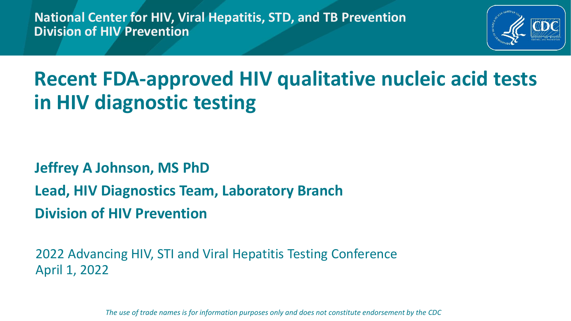**National Center for HIV, Viral Hepatitis, STD, and TB Prevention Division of HIV Prevention**



## **Recent FDA-approved HIV qualitative nucleic acid tests in HIV diagnostic testing**

#### **Jeffrey A Johnson, MS PhD Lead, HIV Diagnostics Team, Laboratory Branch Division of HIV Prevention**

2022 Advancing HIV, STI and Viral Hepatitis Testing Conference April 1, 2022

*The use of trade names is for information purposes only and does not constitute endorsement by the CDC*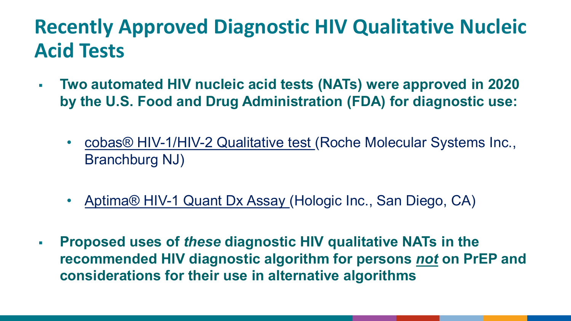## **Recently Approved Diagnostic HIV Qualitative Nucleic Acid Tests**

- **Two automated HIV nucleic acid tests (NATs) were approved in 2020 by the U.S. Food and Drug Administration (FDA) for diagnostic use:** 
	- cobas[® HIV-1/HIV-2 Qualitative](https://www.fda.gov/media/141100/download) test (Roche Molecular Systems Inc., Branchburg NJ)
	- Aptima® HIV-1 Quant Dx Assay (Hologic Inc., San Diego, CA)
- **Proposed uses of** *these* **diagnostic HIV qualitative NATs in the recommended HIV diagnostic algorithm for persons** *not* **on PrEP and considerations for their use in alternative algorithms**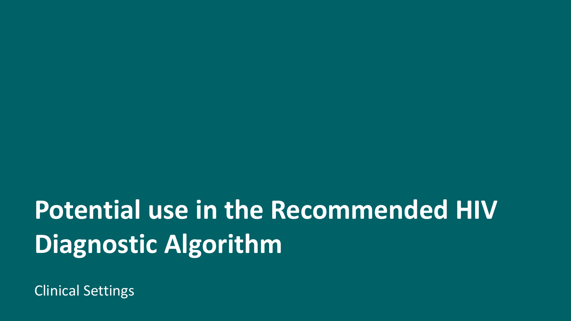# **Potential use in the Recommended HIV Diagnostic Algorithm**

Clinical Settings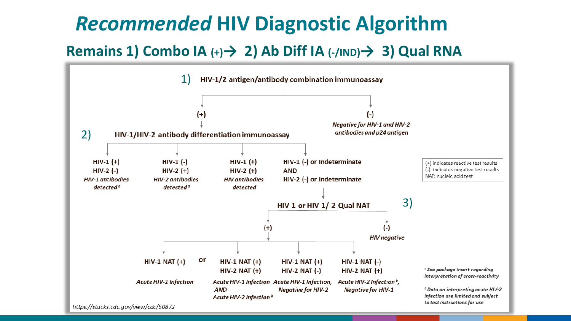## *Recommended* **HIV Diagnostic Algorithm**

#### **Remains 1) Combo IA (+)→ 2) Ab Diff IA (-/IND)→ 3) Qual RNA**

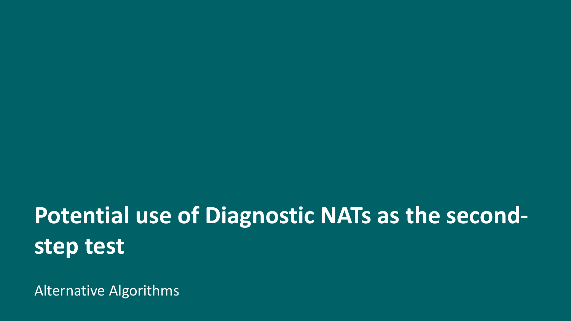## **Potential use of Diagnostic NATs as the secondstep test**

Alternative Algorithms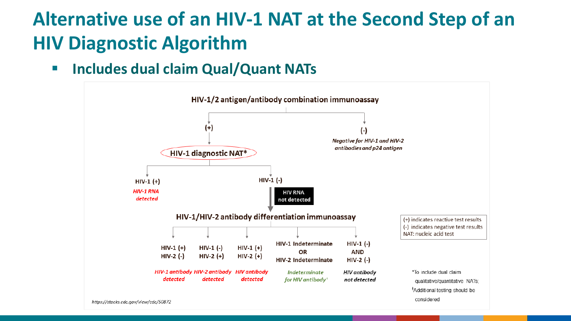## **Alternative use of an HIV-1 NAT at the Second Step of an HIV Diagnostic Algorithm**

**Includes dual claim Qual/Quant NATs**

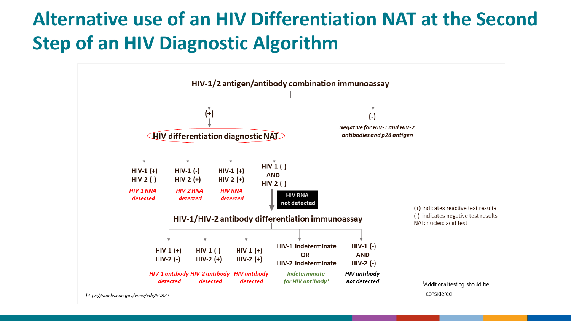## **Alternative use of an HIV Differentiation NAT at the Second Step of an HIV Diagnostic Algorithm**

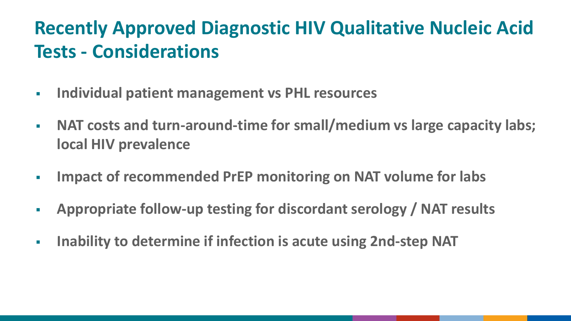## **Recently Approved Diagnostic HIV Qualitative Nucleic Acid Tests - Considerations**

- **Individual patient management vs PHL resources**
- **NAT costs and turn-around-time for small/medium vs large capacity labs; local HIV prevalence**
- **Impact of recommended PrEP monitoring on NAT volume for labs**
- **Appropriate follow-up testing for discordant serology / NAT results**
- **Inability to determine if infection is acute using 2nd-step NAT**